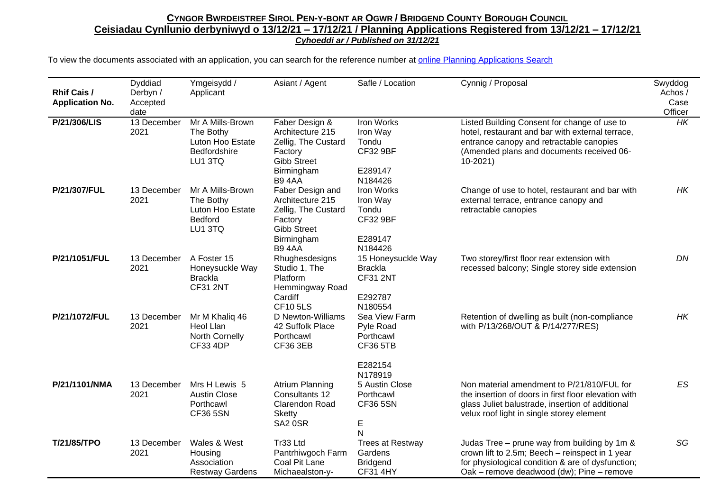| <b>Rhif Cais /</b><br><b>Application No.</b> | Dyddiad<br>Derbyn /<br>Accepted<br>date | Ymgeisydd /<br>Applicant                                                     | Asiant / Agent                                                                                                             | Safle / Location                                                              | Cynnig / Proposal                                                                                                                                                                                      | Swyddog<br>Achos /<br>Case<br>Officer |
|----------------------------------------------|-----------------------------------------|------------------------------------------------------------------------------|----------------------------------------------------------------------------------------------------------------------------|-------------------------------------------------------------------------------|--------------------------------------------------------------------------------------------------------------------------------------------------------------------------------------------------------|---------------------------------------|
| P/21/306/LIS                                 | 13 December<br>2021                     | Mr A Mills-Brown<br>The Bothy<br>Luton Hoo Estate<br>Bedfordshire<br>LU1 3TQ | Faber Design &<br>Architecture 215<br>Zellig, The Custard<br>Factory<br><b>Gibb Street</b><br>Birmingham<br><b>B94AA</b>   | Iron Works<br>Iron Way<br>Tondu<br><b>CF32 9BF</b><br>E289147<br>N184426      | Listed Building Consent for change of use to<br>hotel, restaurant and bar with external terrace,<br>entrance canopy and retractable canopies<br>(Amended plans and documents received 06-<br>$10-2021$ | <b>HK</b>                             |
| P/21/307/FUL                                 | 13 December<br>2021                     | Mr A Mills-Brown<br>The Bothy<br>Luton Hoo Estate<br>Bedford<br>LU1 3TQ      | Faber Design and<br>Architecture 215<br>Zellig, The Custard<br>Factory<br><b>Gibb Street</b><br>Birmingham<br><b>B94AA</b> | Iron Works<br>Iron Way<br>Tondu<br><b>CF32 9BF</b><br>E289147<br>N184426      | Change of use to hotel, restaurant and bar with<br>external terrace, entrance canopy and<br>retractable canopies                                                                                       | НK                                    |
| P/21/1051/FUL                                | 13 December<br>2021                     | A Foster 15<br>Honeysuckle Way<br><b>Brackla</b><br><b>CF31 2NT</b>          | Rhughesdesigns<br>Studio 1, The<br>Platform<br>Hemmingway Road<br>Cardiff<br><b>CF105LS</b>                                | 15 Honeysuckle Way<br><b>Brackla</b><br><b>CF31 2NT</b><br>E292787<br>N180554 | Two storey/first floor rear extension with<br>recessed balcony; Single storey side extension                                                                                                           | DN                                    |
| P/21/1072/FUL                                | 13 December<br>2021                     | Mr M Khaliq 46<br>Heol Llan<br>North Cornelly<br><b>CF33 4DP</b>             | D Newton-Williams<br>42 Suffolk Place<br>Porthcawl<br><b>CF36 3EB</b>                                                      | Sea View Farm<br>Pyle Road<br>Porthcawl<br><b>CF36 5TB</b><br>E282154         | Retention of dwelling as built (non-compliance<br>with P/13/268/OUT & P/14/277/RES)                                                                                                                    | <b>HK</b>                             |
| P/21/1101/NMA                                | 13 December<br>2021                     | Mrs H Lewis 5<br><b>Austin Close</b><br>Porthcawl<br><b>CF36 5SN</b>         | Atrium Planning<br>Consultants 12<br><b>Clarendon Road</b><br><b>Sketty</b><br>SA2 0SR                                     | N178919<br>5 Austin Close<br>Porthcawl<br><b>CF36 5SN</b><br>E<br>N           | Non material amendment to P/21/810/FUL for<br>the insertion of doors in first floor elevation with<br>glass Juliet balustrade, insertion of additional<br>velux roof light in single storey element    | ES                                    |
| T/21/85/TPO                                  | 13 December<br>2021                     | Wales & West<br>Housing<br>Association<br><b>Restway Gardens</b>             | Tr33 Ltd<br>Pantrhiwgoch Farm<br>Coal Pit Lane<br>Michaealston-y-                                                          | <b>Trees at Restway</b><br>Gardens<br><b>Bridgend</b><br><b>CF31 4HY</b>      | Judas Tree - prune way from building by 1m &<br>crown lift to 2.5m; Beech - reinspect in 1 year<br>for physiological condition & are of dysfunction;<br>Oak - remove deadwood (dw); Pine - remove      | SG                                    |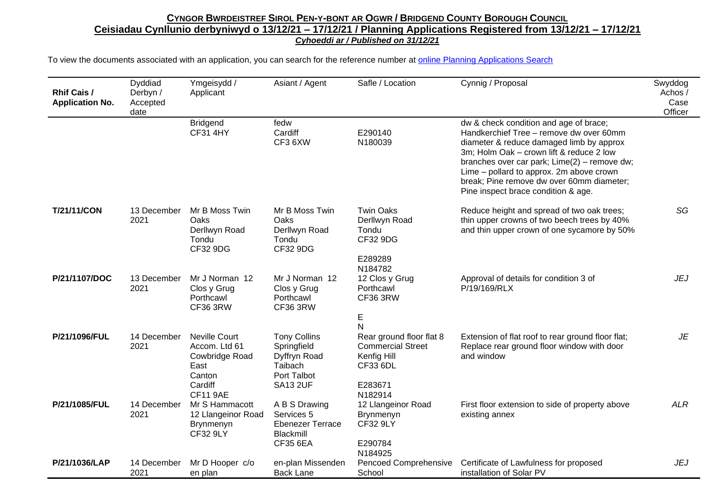| <b>Rhif Cais /</b><br><b>Application No.</b> | Dyddiad<br>Derbyn /<br>Accepted<br>date | Ymgeisydd /<br>Applicant                                                                                | Asiant / Agent                                                                                  | Safle / Location                                                                                                  | Cynnig / Proposal                                                                                                                                                                                                                                                                                                                                         | Swyddog<br>Achos /<br>Case<br>Officer |
|----------------------------------------------|-----------------------------------------|---------------------------------------------------------------------------------------------------------|-------------------------------------------------------------------------------------------------|-------------------------------------------------------------------------------------------------------------------|-----------------------------------------------------------------------------------------------------------------------------------------------------------------------------------------------------------------------------------------------------------------------------------------------------------------------------------------------------------|---------------------------------------|
|                                              |                                         | <b>Bridgend</b><br><b>CF31 4HY</b>                                                                      | fedw<br>Cardiff<br>CF3 6XW                                                                      | E290140<br>N180039                                                                                                | dw & check condition and age of brace;<br>Handkerchief Tree - remove dw over 60mm<br>diameter & reduce damaged limb by approx<br>3m; Holm Oak - crown lift & reduce 2 low<br>branches over car park; Lime(2) - remove dw;<br>Lime - pollard to approx. 2m above crown<br>break; Pine remove dw over 60mm diameter;<br>Pine inspect brace condition & age. |                                       |
| <b>T/21/11/CON</b>                           | 13 December<br>2021                     | Mr B Moss Twin<br>Oaks<br>Derllwyn Road<br>Tondu<br>CF32 9DG                                            | Mr B Moss Twin<br>Oaks<br>Derllwyn Road<br>Tondu<br>CF32 9DG                                    | <b>Twin Oaks</b><br>Derllwyn Road<br>Tondu<br>CF32 9DG                                                            | Reduce height and spread of two oak trees;<br>thin upper crowns of two beech trees by 40%<br>and thin upper crown of one sycamore by 50%                                                                                                                                                                                                                  | SG                                    |
| P/21/1107/DOC                                | 13 December<br>2021                     | Mr J Norman 12<br>Clos y Grug<br>Porthcawl<br><b>CF36 3RW</b>                                           | Mr J Norman 12<br>Clos y Grug<br>Porthcawl<br>CF36 3RW                                          | E289289<br>N184782<br>12 Clos y Grug<br>Porthcawl<br>CF36 3RW<br>E                                                | Approval of details for condition 3 of<br>P/19/169/RLX                                                                                                                                                                                                                                                                                                    | <b>JEJ</b>                            |
| P/21/1096/FUL                                | 14 December<br>2021                     | <b>Neville Court</b><br>Accom. Ltd 61<br>Cowbridge Road<br>East<br>Canton<br>Cardiff<br><b>CF11 9AE</b> | <b>Tony Collins</b><br>Springfield<br>Dyffryn Road<br>Taibach<br>Port Talbot<br><b>SA13 2UF</b> | N<br>Rear ground floor flat 8<br><b>Commercial Street</b><br>Kenfig Hill<br><b>CF33 6DL</b><br>E283671<br>N182914 | Extension of flat roof to rear ground floor flat;<br>Replace rear ground floor window with door<br>and window                                                                                                                                                                                                                                             | JE                                    |
| P/21/1085/FUL                                | 14 December<br>2021                     | Mr S Hammacott<br>12 Llangeinor Road<br>Brynmenyn<br><b>CF32 9LY</b>                                    | A B S Drawing<br>Services 5<br><b>Ebenezer Terrace</b><br>Blackmill<br><b>CF35 6EA</b>          | 12 Llangeinor Road<br>Brynmenyn<br><b>CF32 9LY</b><br>E290784<br>N184925                                          | First floor extension to side of property above<br>existing annex                                                                                                                                                                                                                                                                                         | <b>ALR</b>                            |
| P/21/1036/LAP                                | 14 December<br>2021                     | Mr D Hooper c/o<br>en plan                                                                              | en-plan Missenden<br><b>Back Lane</b>                                                           | <b>Pencoed Comprehensive</b><br>School                                                                            | Certificate of Lawfulness for proposed<br>installation of Solar PV                                                                                                                                                                                                                                                                                        | <b>JEJ</b>                            |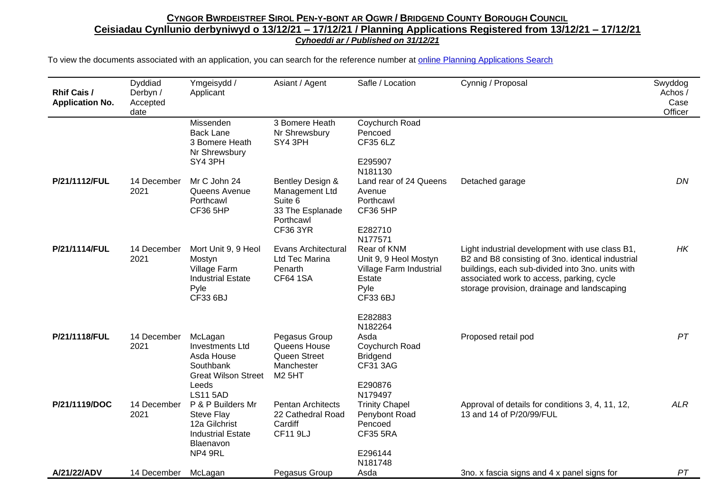| <b>Rhif Cais /</b><br><b>Application No.</b> | Dyddiad<br>Derbyn /<br>Accepted<br>date | Ymgeisydd /<br>Applicant                                                                                               | Asiant / Agent                                                                                    | Safle / Location                                                                                         | Cynnig / Proposal                                                                                                                                                                                                                                    | Swyddog<br>Achos /<br>Case<br>Officer |
|----------------------------------------------|-----------------------------------------|------------------------------------------------------------------------------------------------------------------------|---------------------------------------------------------------------------------------------------|----------------------------------------------------------------------------------------------------------|------------------------------------------------------------------------------------------------------------------------------------------------------------------------------------------------------------------------------------------------------|---------------------------------------|
|                                              |                                         | Missenden<br><b>Back Lane</b><br>3 Bomere Heath<br>Nr Shrewsbury<br>SY4 3PH                                            | 3 Bomere Heath<br>Nr Shrewsbury<br>SY4 3PH                                                        | Coychurch Road<br>Pencoed<br>CF35 6LZ<br>E295907<br>N181130                                              |                                                                                                                                                                                                                                                      |                                       |
| P/21/1112/FUL                                | 14 December<br>2021                     | Mr C John 24<br>Queens Avenue<br>Porthcawl<br><b>CF36 5HP</b>                                                          | Bentley Design &<br>Management Ltd<br>Suite 6<br>33 The Esplanade<br>Porthcawl<br><b>CF36 3YR</b> | Land rear of 24 Queens<br>Avenue<br>Porthcawl<br><b>CF36 5HP</b><br>E282710<br>N177571                   | Detached garage                                                                                                                                                                                                                                      | DN                                    |
| P/21/1114/FUL                                | 14 December<br>2021                     | Mort Unit 9, 9 Heol<br>Mostyn<br>Village Farm<br><b>Industrial Estate</b><br>Pyle<br>CF33 6BJ                          | Evans Architectural<br>Ltd Tec Marina<br>Penarth<br><b>CF64 1SA</b>                               | Rear of KNM<br>Unit 9, 9 Heol Mostyn<br>Village Farm Industrial<br>Estate<br>Pyle<br>CF33 6BJ<br>E282883 | Light industrial development with use class B1,<br>B2 and B8 consisting of 3no. identical industrial<br>buildings, each sub-divided into 3no. units with<br>associated work to access, parking, cycle<br>storage provision, drainage and landscaping | HK                                    |
| P/21/1118/FUL                                | 14 December<br>2021                     | McLagan<br><b>Investments Ltd</b><br>Asda House<br>Southbank<br><b>Great Wilson Street</b><br>Leeds<br><b>LS11 5AD</b> | Pegasus Group<br>Queens House<br>Queen Street<br>Manchester<br><b>M2 5HT</b>                      | N182264<br>Asda<br>Coychurch Road<br><b>Bridgend</b><br><b>CF31 3AG</b><br>E290876<br>N179497            | Proposed retail pod                                                                                                                                                                                                                                  | PT                                    |
| P/21/1119/DOC                                | 14 December<br>2021                     | P & P Builders Mr<br><b>Steve Flay</b><br>12a Gilchrist<br><b>Industrial Estate</b><br>Blaenavon<br>NP4 9RL            | <b>Pentan Architects</b><br>22 Cathedral Road<br>Cardiff<br><b>CF11 9LJ</b>                       | <b>Trinity Chapel</b><br>Penybont Road<br>Pencoed<br><b>CF35 5RA</b><br>E296144<br>N181748               | Approval of details for conditions 3, 4, 11, 12,<br>13 and 14 of P/20/99/FUL                                                                                                                                                                         | <b>ALR</b>                            |
| A/21/22/ADV                                  | 14 December                             | McLagan                                                                                                                | Pegasus Group                                                                                     | Asda                                                                                                     | 3no. x fascia signs and 4 x panel signs for                                                                                                                                                                                                          | PT                                    |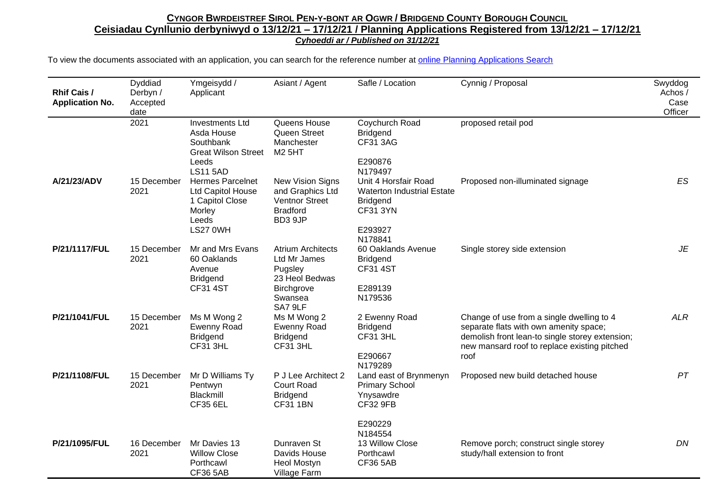| Rhif Cais /<br><b>Application No.</b> | Dyddiad<br>Derbyn /<br>Accepted<br>date | Ymgeisydd /<br>Applicant                                                                              | Asiant / Agent                                                                                            | Safle / Location                                                                                           | Cynnig / Proposal                                                                                                                                                                              | Swyddog<br>Achos /<br>Case<br>Officer |
|---------------------------------------|-----------------------------------------|-------------------------------------------------------------------------------------------------------|-----------------------------------------------------------------------------------------------------------|------------------------------------------------------------------------------------------------------------|------------------------------------------------------------------------------------------------------------------------------------------------------------------------------------------------|---------------------------------------|
|                                       | 2021                                    | <b>Investments Ltd</b><br>Asda House<br>Southbank<br><b>Great Wilson Street</b><br>Leeds              | Queens House<br>Queen Street<br>Manchester<br><b>M2 5HT</b>                                               | Coychurch Road<br><b>Bridgend</b><br><b>CF31 3AG</b><br>E290876                                            | proposed retail pod                                                                                                                                                                            |                                       |
| A/21/23/ADV                           | 15 December<br>2021                     | <b>LS11 5AD</b><br><b>Hermes Parcelnet</b><br>Ltd Capitol House<br>1 Capitol Close<br>Morley<br>Leeds | <b>New Vision Signs</b><br>and Graphics Ltd<br><b>Ventnor Street</b><br><b>Bradford</b><br>BD3 9JP        | N179497<br>Unit 4 Horsfair Road<br><b>Waterton Industrial Estate</b><br><b>Bridgend</b><br><b>CF31 3YN</b> | Proposed non-illuminated signage                                                                                                                                                               | ES                                    |
|                                       |                                         | LS27 0WH                                                                                              |                                                                                                           | E293927<br>N178841                                                                                         |                                                                                                                                                                                                |                                       |
| P/21/1117/FUL                         | 15 December<br>2021                     | Mr and Mrs Evans<br>60 Oaklands<br>Avenue<br><b>Bridgend</b><br><b>CF31 4ST</b>                       | <b>Atrium Architects</b><br>Ltd Mr James<br>Pugsley<br>23 Heol Bedwas<br>Birchgrove<br>Swansea<br>SA7 9LF | 60 Oaklands Avenue<br><b>Bridgend</b><br><b>CF31 4ST</b><br>E289139<br>N179536                             | Single storey side extension                                                                                                                                                                   | JE                                    |
| P/21/1041/FUL                         | 15 December<br>2021                     | Ms M Wong 2<br><b>Ewenny Road</b><br><b>Bridgend</b><br><b>CF31 3HL</b>                               | Ms M Wong 2<br><b>Ewenny Road</b><br><b>Bridgend</b><br><b>CF31 3HL</b>                                   | 2 Ewenny Road<br><b>Bridgend</b><br><b>CF31 3HL</b><br>E290667<br>N179289                                  | Change of use from a single dwelling to 4<br>separate flats with own amenity space;<br>demolish front lean-to single storey extension;<br>new mansard roof to replace existing pitched<br>roof | <b>ALR</b>                            |
| P/21/1108/FUL                         | 15 December<br>2021                     | Mr D Williams Ty<br>Pentwyn<br>Blackmill<br><b>CF35 6EL</b>                                           | P J Lee Architect 2<br><b>Court Road</b><br><b>Bridgend</b><br><b>CF31 1BN</b>                            | Land east of Brynmenyn<br><b>Primary School</b><br>Ynysawdre<br><b>CF32 9FB</b>                            | Proposed new build detached house                                                                                                                                                              | PT                                    |
| P/21/1095/FUL                         | 16 December<br>2021                     | Mr Davies 13<br><b>Willow Close</b><br>Porthcawl<br><b>CF36 5AB</b>                                   | Dunraven St<br>Davids House<br><b>Heol Mostyn</b><br>Village Farm                                         | E290229<br>N184554<br>13 Willow Close<br>Porthcawl<br><b>CF36 5AB</b>                                      | Remove porch; construct single storey<br>study/hall extension to front                                                                                                                         | DN                                    |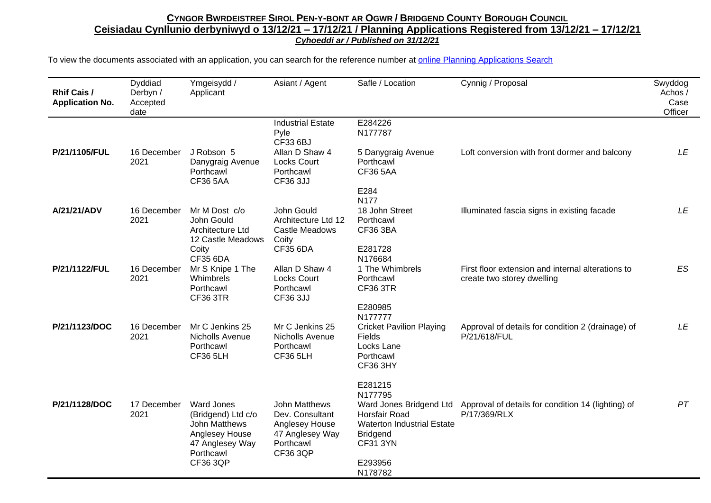| <b>Rhif Cais /</b><br><b>Application No.</b> | Dyddiad<br>Derbyn /<br>Accepted<br>date | Ymgeisydd /<br>Applicant                                                                                   | Asiant / Agent                                                                                        | Safle / Location                                                                                                           | Cynnig / Proposal                                                               | Swyddog<br>Achos/<br>Case<br>Officer |
|----------------------------------------------|-----------------------------------------|------------------------------------------------------------------------------------------------------------|-------------------------------------------------------------------------------------------------------|----------------------------------------------------------------------------------------------------------------------------|---------------------------------------------------------------------------------|--------------------------------------|
| P/21/1105/FUL                                | 16 December                             | J Robson 5                                                                                                 | <b>Industrial Estate</b><br>Pyle<br>CF33 6BJ<br>Allan D Shaw 4                                        | E284226<br>N177787<br>5 Danygraig Avenue                                                                                   | Loft conversion with front dormer and balcony                                   | LE                                   |
|                                              | 2021                                    | Danygraig Avenue<br>Porthcawl<br><b>CF36 5AA</b>                                                           | <b>Locks Court</b><br>Porthcawl<br><b>CF36 3JJ</b>                                                    | Porthcawl<br><b>CF36 5AA</b><br>E284                                                                                       |                                                                                 |                                      |
| A/21/21/ADV                                  | 16 December<br>2021                     | Mr M Dost c/o<br>John Gould<br>Architecture Ltd<br>12 Castle Meadows                                       | John Gould<br>Architecture Ltd 12<br>Castle Meadows<br>Coity                                          | <b>N177</b><br>18 John Street<br>Porthcawl<br>CF36 3BA                                                                     | Illuminated fascia signs in existing facade                                     | LE                                   |
|                                              |                                         | Coity<br><b>CF35 6DA</b>                                                                                   | <b>CF35 6DA</b>                                                                                       | E281728<br>N176684                                                                                                         |                                                                                 |                                      |
| P/21/1122/FUL                                | 16 December<br>2021                     | Mr S Knipe 1 The<br>Whimbrels<br>Porthcawl<br><b>CF36 3TR</b>                                              | Allan D Shaw 4<br><b>Locks Court</b><br>Porthcawl<br>CF36 3JJ                                         | 1 The Whimbrels<br>Porthcawl<br><b>CF36 3TR</b>                                                                            | First floor extension and internal alterations to<br>create two storey dwelling | ES                                   |
|                                              |                                         |                                                                                                            |                                                                                                       | E280985<br>N177777                                                                                                         |                                                                                 |                                      |
| P/21/1123/DOC                                | 16 December<br>2021                     | Mr C Jenkins 25<br>Nicholls Avenue<br>Porthcawl<br><b>CF36 5LH</b>                                         | Mr C Jenkins 25<br>Nicholls Avenue<br>Porthcawl<br><b>CF36 5LH</b>                                    | <b>Cricket Pavilion Playing</b><br>Fields<br>Locks Lane<br>Porthcawl<br><b>CF36 3HY</b>                                    | Approval of details for condition 2 (drainage) of<br>P/21/618/FUL               | LE                                   |
|                                              |                                         |                                                                                                            |                                                                                                       | E281215<br>N177795                                                                                                         |                                                                                 |                                      |
| P/21/1128/DOC                                | 17 December<br>2021                     | <b>Ward Jones</b><br>(Bridgend) Ltd c/o<br>John Matthews<br>Anglesey House<br>47 Anglesey Way<br>Porthcawl | John Matthews<br>Dev. Consultant<br>Anglesey House<br>47 Anglesey Way<br>Porthcawl<br><b>CF36 3QP</b> | Ward Jones Bridgend Ltd<br><b>Horsfair Road</b><br><b>Waterton Industrial Estate</b><br><b>Bridgend</b><br><b>CF31 3YN</b> | Approval of details for condition 14 (lighting) of<br>P/17/369/RLX              | PT                                   |
|                                              |                                         | <b>CF36 3QP</b>                                                                                            |                                                                                                       | E293956<br>N178782                                                                                                         |                                                                                 |                                      |